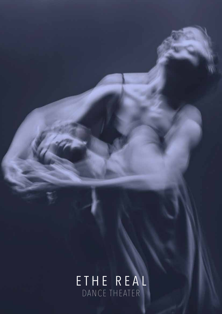## E T H E R E A L DANCE THEATER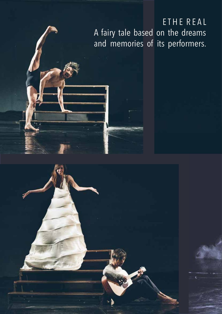#### ETHE REAL A fairy tale based on the dreams and memories of its performers.

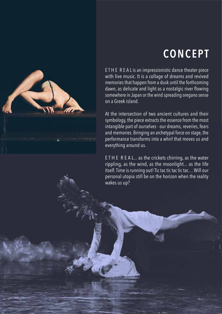# **CONCEPT**

E T H E R E A L is an impressionistic dance theater piece with live music. It is a collage of dreams and revived memories that happen from a dusk until the forthcoming dawn, as delicate and light as a nostalgic river flowing somewhere in Japan or the wind spreading oregano sense on a Greek island.

At the intersection of two ancient cultures and their symbology, the piece extracts the essence from the most intangible part of ourselves - our dreams, reveries, fears and memories. Bringing an archetypal force on stage, the performance transforms into a whirl that moves us and everything around us.

E T H E R E A L... as the crickets chirring, as the water rippling, as the wind, as the moonlight... as the life itself. Time is running out! Tic tac tic tac tic tac… Will our personal utopia still be on the horizon when the reality wakes us up?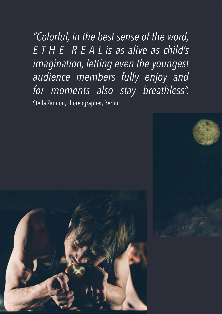*"Colorful, in the best sense of the word, E T H E R E A L is as alive as child's imagination, letting even the youngest audience members fully enjoy and for moments also stay breathless".*  Stella Zannou, choreographer, Berlin

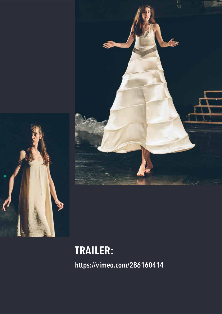



# **TRAILER:**

**<https://vimeo.com/286160414>**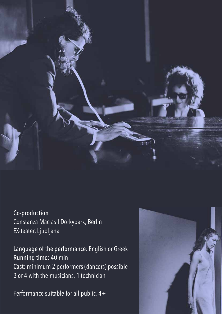

Co-production Constanza Macras I Dorkypark, Berlin EX-teater, Ljubljana

Language of the performance: English or Greek Running time: 40 min Cast: minimum 2 performers (dancers) possible 3 or 4 with the musicians, 1 technician

Performance suitable for all public, 4+

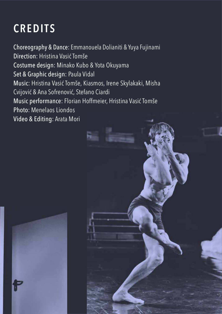# **CREDITS**

Choreography & Dance: Emmanouela Dolianiti & Yuya Fujinami Direction: Hristina Vasić Tomše Costume design: Minako Kubo & Yota Okuyama Set & Graphic design: Paula Vidal Music: Hristina Vasić Tomše, Kiasmos, Irene Skylakaki, Misha Cvijović & Ana Sofrenović, Stefano Ciardi Music performance: Florian Hoffmeier, Hristina Vasić Tomše Photo: Menelaos Liondos Video & Editing: Arata Mori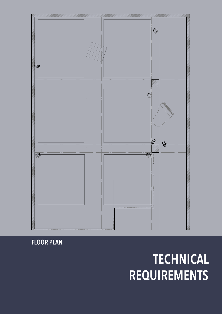### **Floor plan sc. 1:100 Overhead plan sc. 1:100 TECHNICAL REQUIREMENTS**

**FLOOR PLAN**

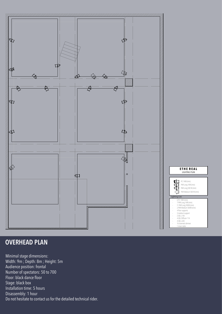

#### **OVERHEAD PLAN**

**Floor plan sc. 1:100 Overhead plan sc. 1:100** Minimal stage dimensions: Width: 9m ; Depth: 8m ; Height: 5m Audience position: frontal Number of spectators: 50 to 700 Floor: black dance floor Stage: black box Installation time: 5 hours Disassembly: 1 hour Do not hesitate to contact us for the detailed technical rider.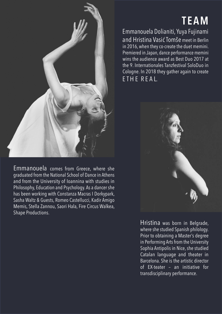

Emmanouela comes from Greece, where she graduated from the National School of Dance in Athens and from the University of Ioannina with studies in Philosophy, Education and Psychology. As a dancer she has been working with Constanza Macras I Dorkypark, Sasha Waltz & Guests, Romeo Castellucci, Kadir Amigo Memis, Stella Zannou, Saori Hala, Fire Circus Walkea, Shape Productions.

# **TEAM**

Emmanouela Dolianiti, Yuya Fujinami and Hristina Vasić Tomše meet in Berlin in 2016, when they co-create the duet memini. Premiered in Japan, dance performance memini wins the audience award as Best Duo 2017 at the 9. Internationales Tanzfestival SoloDuo in Cologne. In 2018 they gather again to create ETHE REAL.



Hristina was born in Belgrade, where she studied Spanish philology. Prior to obtaining a Master's degree in Performing Arts from the University Sophia Antipolis in Nice, she studied Catalan language and theater in Barcelona. She is the artistic director of EX-teater – an initiative for transdisciplinary performance.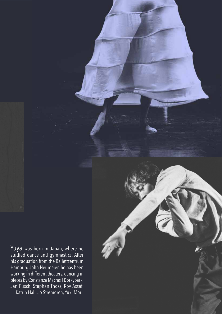Yuya was born in Japan, where he studied dance and gymnastics. After his graduation from the Ballettzentrum Hamburg John Neumeier, he has been working in different theaters, dancing in pieces by Constanza Macras I Dorkypark, Jan Pusch, Stephan Thoss, Roy Assaf, Katrin Hall, Jo Strømgren, Yuki Mori.